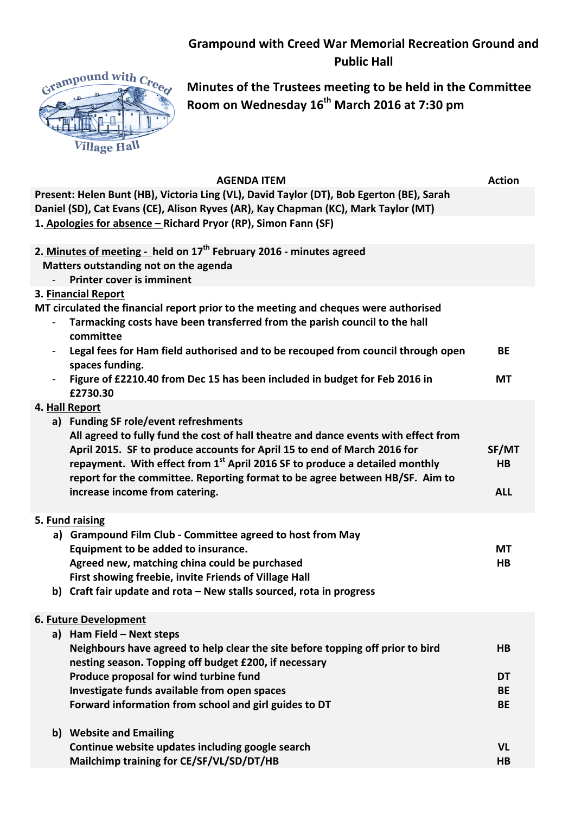## **Grampound with Creed War Memorial Recreation Ground and Public Hall**



**Minutes of the Trustees meeting to be held in the Committee Room on Wednesday 16th March 2016 at 7:30 pm**

| <b>AGENDA ITEM</b>                                                                                                                                                                                                                                                                                     | <b>Action</b>                |
|--------------------------------------------------------------------------------------------------------------------------------------------------------------------------------------------------------------------------------------------------------------------------------------------------------|------------------------------|
| Present: Helen Bunt (HB), Victoria Ling (VL), David Taylor (DT), Bob Egerton (BE), Sarah<br>Daniel (SD), Cat Evans (CE), Alison Ryves (AR), Kay Chapman (KC), Mark Taylor (MT)                                                                                                                         |                              |
| 1. Apologies for absence - Richard Pryor (RP), Simon Fann (SF)                                                                                                                                                                                                                                         |                              |
| 2. Minutes of meeting - held on 17 <sup>th</sup> February 2016 - minutes agreed<br>Matters outstanding not on the agenda<br><b>Printer cover is imminent</b>                                                                                                                                           |                              |
| 3. Financial Report                                                                                                                                                                                                                                                                                    |                              |
| MT circulated the financial report prior to the meeting and cheques were authorised<br>Tarmacking costs have been transferred from the parish council to the hall<br>committee                                                                                                                         |                              |
| Legal fees for Ham field authorised and to be recouped from council through open<br>spaces funding.                                                                                                                                                                                                    | BE                           |
| Figure of £2210.40 from Dec 15 has been included in budget for Feb 2016 in<br>£2730.30                                                                                                                                                                                                                 | МT                           |
| 4. Hall Report<br>a) Funding SF role/event refreshments<br>All agreed to fully fund the cost of hall theatre and dance events with effect from<br>April 2015. SF to produce accounts for April 15 to end of March 2016 for                                                                             | SF/MT                        |
| repayment. With effect from $1st$ April 2016 SF to produce a detailed monthly<br>report for the committee. Reporting format to be agree between HB/SF. Aim to<br>increase income from catering.                                                                                                        | H <sub>B</sub><br><b>ALL</b> |
|                                                                                                                                                                                                                                                                                                        |                              |
| 5. Fund raising<br>a) Grampound Film Club - Committee agreed to host from May<br>Equipment to be added to insurance.<br>Agreed new, matching china could be purchased<br>First showing freebie, invite Friends of Village Hall<br>b) Craft fair update and rota – New stalls sourced, rota in progress | <b>MT</b><br>H <sub>B</sub>  |
|                                                                                                                                                                                                                                                                                                        |                              |
| 6. Future Development                                                                                                                                                                                                                                                                                  |                              |
| a) Ham Field - Next steps<br>Neighbours have agreed to help clear the site before topping off prior to bird<br>nesting season. Topping off budget £200, if necessary                                                                                                                                   | <b>HB</b>                    |
| Produce proposal for wind turbine fund                                                                                                                                                                                                                                                                 | DT                           |
| Investigate funds available from open spaces                                                                                                                                                                                                                                                           | <b>BE</b>                    |
| Forward information from school and girl guides to DT                                                                                                                                                                                                                                                  | <b>BE</b>                    |
| b) Website and Emailing                                                                                                                                                                                                                                                                                |                              |
| Continue website updates including google search<br>Mailchimp training for CE/SF/VL/SD/DT/HB                                                                                                                                                                                                           | <b>VL</b><br>HB              |